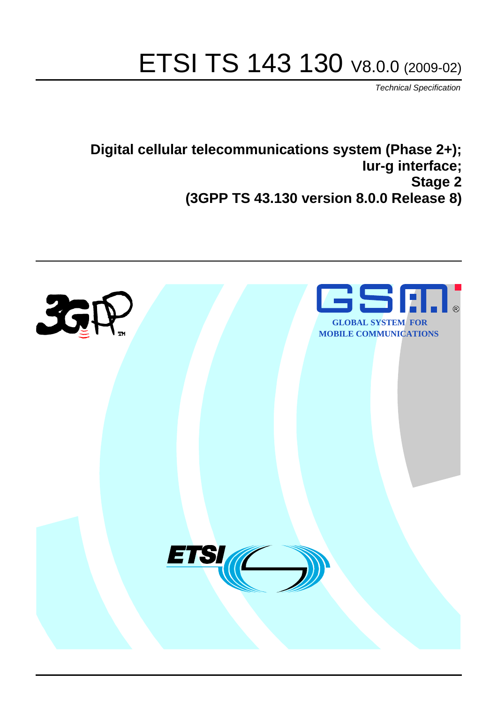# ETSI TS 143 130 V8.0.0 (2009-02)

*Technical Specification*

**Digital cellular telecommunications system (Phase 2+); Iur-g interface; Stage 2 (3GPP TS 43.130 version 8.0.0 Release 8)**

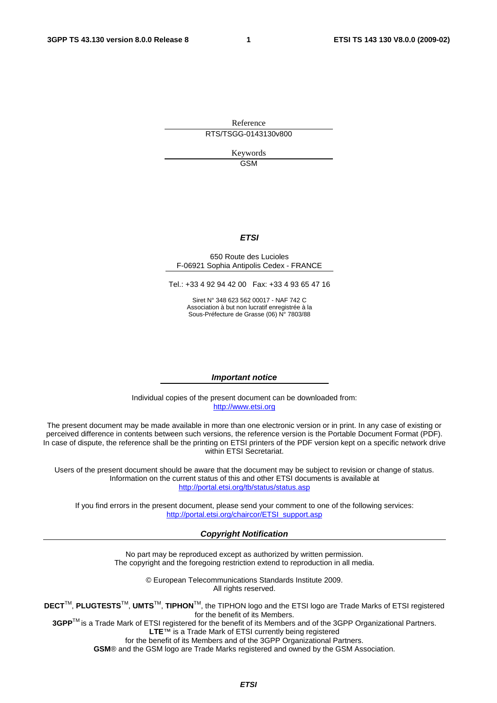Reference RTS/TSGG-0143130v800

> Keywords GSM

#### *ETSI*

#### 650 Route des Lucioles F-06921 Sophia Antipolis Cedex - FRANCE

Tel.: +33 4 92 94 42 00 Fax: +33 4 93 65 47 16

Siret N° 348 623 562 00017 - NAF 742 C Association à but non lucratif enregistrée à la Sous-Préfecture de Grasse (06) N° 7803/88

#### *Important notice*

Individual copies of the present document can be downloaded from: [http://www.etsi.org](http://www.etsi.org/)

The present document may be made available in more than one electronic version or in print. In any case of existing or perceived difference in contents between such versions, the reference version is the Portable Document Format (PDF). In case of dispute, the reference shall be the printing on ETSI printers of the PDF version kept on a specific network drive within ETSI Secretariat.

Users of the present document should be aware that the document may be subject to revision or change of status. Information on the current status of this and other ETSI documents is available at <http://portal.etsi.org/tb/status/status.asp>

If you find errors in the present document, please send your comment to one of the following services: [http://portal.etsi.org/chaircor/ETSI\\_support.asp](http://portal.etsi.org/chaircor/ETSI_support.asp)

#### *Copyright Notification*

No part may be reproduced except as authorized by written permission. The copyright and the foregoing restriction extend to reproduction in all media.

> © European Telecommunications Standards Institute 2009. All rights reserved.

**DECT**TM, **PLUGTESTS**TM, **UMTS**TM, **TIPHON**TM, the TIPHON logo and the ETSI logo are Trade Marks of ETSI registered for the benefit of its Members.

**3GPP**TM is a Trade Mark of ETSI registered for the benefit of its Members and of the 3GPP Organizational Partners. **LTE**™ is a Trade Mark of ETSI currently being registered

for the benefit of its Members and of the 3GPP Organizational Partners.

**GSM**® and the GSM logo are Trade Marks registered and owned by the GSM Association.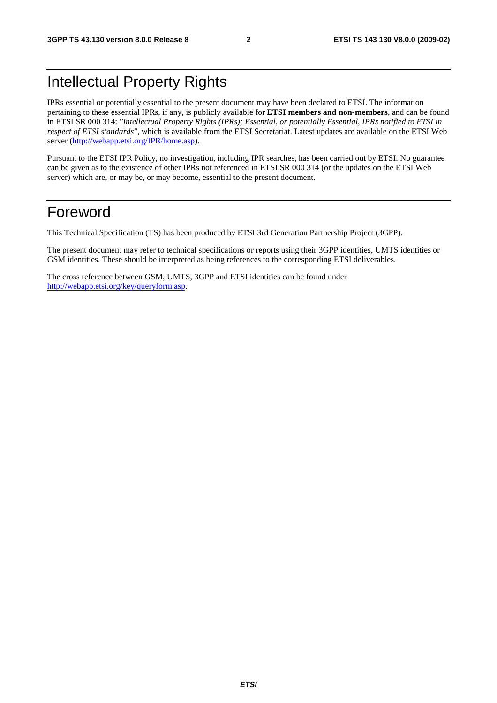## Intellectual Property Rights

IPRs essential or potentially essential to the present document may have been declared to ETSI. The information pertaining to these essential IPRs, if any, is publicly available for **ETSI members and non-members**, and can be found in ETSI SR 000 314: *"Intellectual Property Rights (IPRs); Essential, or potentially Essential, IPRs notified to ETSI in respect of ETSI standards"*, which is available from the ETSI Secretariat. Latest updates are available on the ETSI Web server [\(http://webapp.etsi.org/IPR/home.asp\)](http://webapp.etsi.org/IPR/home.asp).

Pursuant to the ETSI IPR Policy, no investigation, including IPR searches, has been carried out by ETSI. No guarantee can be given as to the existence of other IPRs not referenced in ETSI SR 000 314 (or the updates on the ETSI Web server) which are, or may be, or may become, essential to the present document.

### Foreword

This Technical Specification (TS) has been produced by ETSI 3rd Generation Partnership Project (3GPP).

The present document may refer to technical specifications or reports using their 3GPP identities, UMTS identities or GSM identities. These should be interpreted as being references to the corresponding ETSI deliverables.

The cross reference between GSM, UMTS, 3GPP and ETSI identities can be found under [http://webapp.etsi.org/key/queryform.asp.](http://webapp.etsi.org/key/queryform.asp)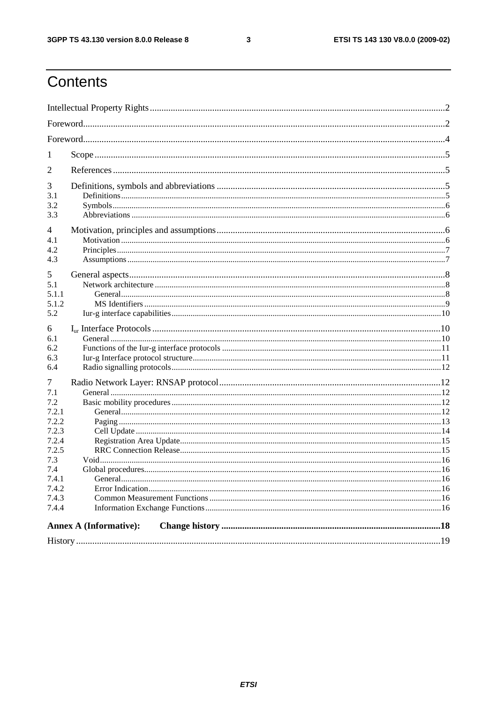$\mathbf{3}$ 

## Contents

| 1                                                                                                              |                               |  |  |  |  |
|----------------------------------------------------------------------------------------------------------------|-------------------------------|--|--|--|--|
| 2                                                                                                              |                               |  |  |  |  |
| 3<br>3.1<br>3.2<br>3.3                                                                                         |                               |  |  |  |  |
| 4<br>4.1<br>4.2<br>4.3                                                                                         |                               |  |  |  |  |
| 5<br>5.1<br>5.1.1<br>5.1.2<br>5.2                                                                              |                               |  |  |  |  |
| 6<br>6.1<br>6.2<br>6.3<br>6.4                                                                                  |                               |  |  |  |  |
| 7<br>7.1<br>7.2<br>7.2.1<br>7.2.2<br>7.2.3<br>7.2.4<br>7.2.5<br>7.3<br>7.4<br>7.4.1<br>7.4.2<br>7.4.3<br>7.4.4 |                               |  |  |  |  |
|                                                                                                                | <b>Annex A (Informative):</b> |  |  |  |  |
|                                                                                                                |                               |  |  |  |  |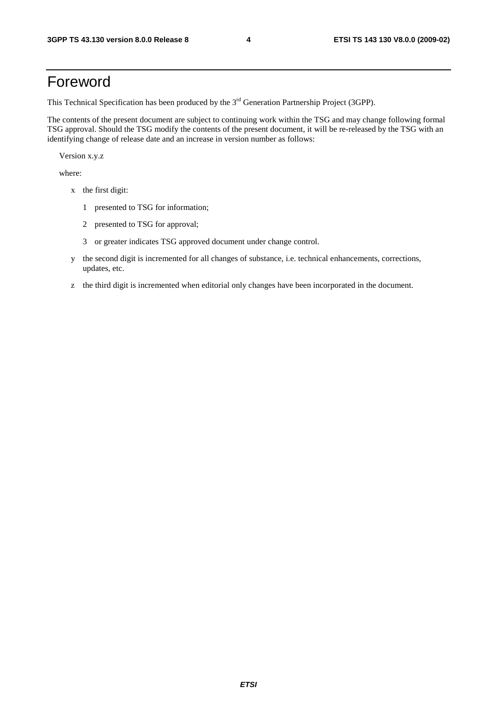### Foreword

This Technical Specification has been produced by the 3<sup>rd</sup> Generation Partnership Project (3GPP).

The contents of the present document are subject to continuing work within the TSG and may change following formal TSG approval. Should the TSG modify the contents of the present document, it will be re-released by the TSG with an identifying change of release date and an increase in version number as follows:

Version x.y.z

where:

- x the first digit:
	- 1 presented to TSG for information;
	- 2 presented to TSG for approval;
	- 3 or greater indicates TSG approved document under change control.
- y the second digit is incremented for all changes of substance, i.e. technical enhancements, corrections, updates, etc.
- z the third digit is incremented when editorial only changes have been incorporated in the document.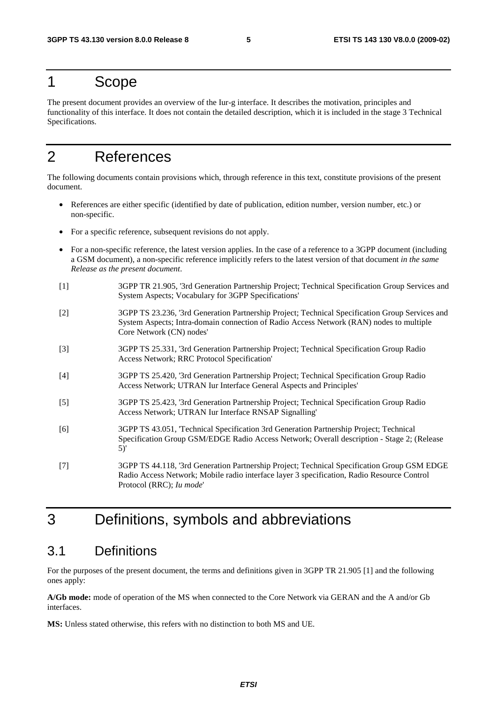### 1 Scope

The present document provides an overview of the Iur-g interface. It describes the motivation, principles and functionality of this interface. It does not contain the detailed description, which it is included in the stage 3 Technical Specifications.

### 2 References

The following documents contain provisions which, through reference in this text, constitute provisions of the present document.

- References are either specific (identified by date of publication, edition number, version number, etc.) or non-specific.
- For a specific reference, subsequent revisions do not apply.
- For a non-specific reference, the latest version applies. In the case of a reference to a 3GPP document (including a GSM document), a non-specific reference implicitly refers to the latest version of that document *in the same Release as the present document*.
- [1] 3GPP TR 21.905, '3rd Generation Partnership Project; Technical Specification Group Services and System Aspects; Vocabulary for 3GPP Specifications'
- [2] 3GPP TS 23.236, '3rd Generation Partnership Project; Technical Specification Group Services and System Aspects; Intra-domain connection of Radio Access Network (RAN) nodes to multiple Core Network (CN) nodes'
- [3] 3GPP TS 25.331, '3rd Generation Partnership Project; Technical Specification Group Radio Access Network; RRC Protocol Specification'
- [4] 3GPP TS 25.420, '3rd Generation Partnership Project; Technical Specification Group Radio Access Network; UTRAN Iur Interface General Aspects and Principles'
- [5] 3GPP TS 25.423, '3rd Generation Partnership Project; Technical Specification Group Radio Access Network; UTRAN Iur Interface RNSAP Signalling'
- [6] 3GPP TS 43.051, 'Technical Specification 3rd Generation Partnership Project; Technical Specification Group GSM/EDGE Radio Access Network; Overall description - Stage 2; (Release 5)'
- [7] 3GPP TS 44.118, '3rd Generation Partnership Project; Technical Specification Group GSM EDGE Radio Access Network; Mobile radio interface layer 3 specification, Radio Resource Control Protocol (RRC); *Iu mode*'

### 3 Definitions, symbols and abbreviations

#### 3.1 Definitions

For the purposes of the present document, the terms and definitions given in 3GPP TR 21.905 [1] and the following ones apply:

**A/Gb mode:** mode of operation of the MS when connected to the Core Network via GERAN and the A and/or Gb interfaces.

**MS:** Unless stated otherwise, this refers with no distinction to both MS and UE.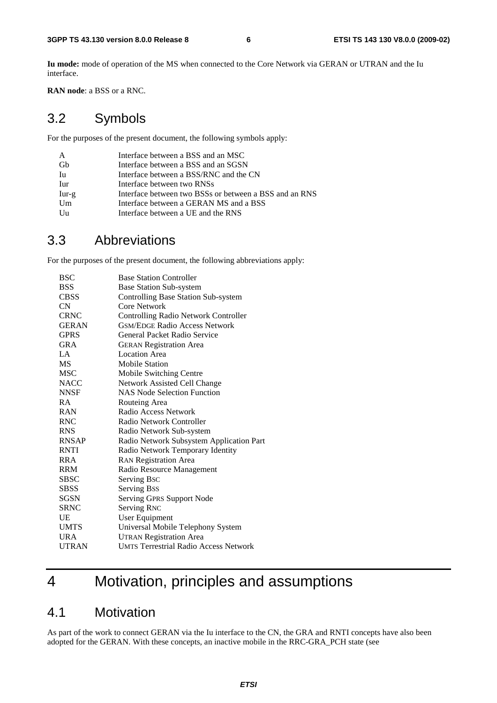**Iu mode:** mode of operation of the MS when connected to the Core Network via GERAN or UTRAN and the Iu interface.

**RAN node**: a BSS or a RNC.

#### 3.2 Symbols

For the purposes of the present document, the following symbols apply:

| A       | Interface between a BSS and an MSC                     |
|---------|--------------------------------------------------------|
| Gh      | Interface between a BSS and an SGSN                    |
| Iu      | Interface between a BSS/RNC and the CN                 |
| Iur     | Interface between two RNSs                             |
| $Iur-g$ | Interface between two BSSs or between a BSS and an RNS |
| Um      | Interface between a GERAN MS and a BSS                 |
| Uu      | Interface between a UE and the RNS                     |

#### 3.3 Abbreviations

For the purposes of the present document, the following abbreviations apply:

| <b>BSC</b>   | <b>Base Station Controller</b>               |
|--------------|----------------------------------------------|
| <b>BSS</b>   | <b>Base Station Sub-system</b>               |
| <b>CBSS</b>  | Controlling Base Station Sub-system          |
| CN           | Core Network                                 |
| <b>CRNC</b>  | Controlling Radio Network Controller         |
| <b>GERAN</b> | <b>GSM/EDGE Radio Access Network</b>         |
| <b>GPRS</b>  | General Packet Radio Service                 |
| GRA          | <b>GERAN Registration Area</b>               |
| LA           | <b>Location Area</b>                         |
| <b>MS</b>    | <b>Mobile Station</b>                        |
| <b>MSC</b>   | Mobile Switching Centre                      |
| <b>NACC</b>  | Network Assisted Cell Change                 |
| <b>NNSF</b>  | <b>NAS Node Selection Function</b>           |
| <b>RA</b>    | Routeing Area                                |
| <b>RAN</b>   | Radio Access Network                         |
| <b>RNC</b>   | Radio Network Controller                     |
| <b>RNS</b>   | Radio Network Sub-system                     |
| <b>RNSAP</b> | Radio Network Subsystem Application Part     |
| <b>RNTI</b>  | Radio Network Temporary Identity             |
| <b>RRA</b>   | <b>RAN Registration Area</b>                 |
| <b>RRM</b>   | Radio Resource Management                    |
| <b>SBSC</b>  | Serving Bsc                                  |
| <b>SBSS</b>  | <b>Serving Bss</b>                           |
| <b>SGSN</b>  | Serving GPRS Support Node                    |
| <b>SRNC</b>  | <b>Serving RNC</b>                           |
| UE           | <b>User Equipment</b>                        |
| <b>UMTS</b>  | Universal Mobile Telephony System            |
| <b>URA</b>   | <b>UTRAN Registration Area</b>               |
| <b>UTRAN</b> | <b>UMTS Terrestrial Radio Access Network</b> |
|              |                                              |

## 4 Motivation, principles and assumptions

#### 4.1 Motivation

As part of the work to connect GERAN via the Iu interface to the CN, the GRA and RNTI concepts have also been adopted for the GERAN. With these concepts, an inactive mobile in the RRC-GRA\_PCH state (see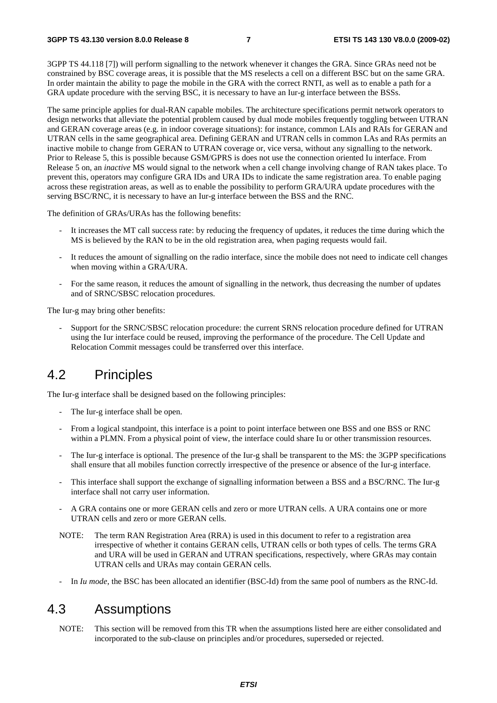3GPP TS 44.118 [7]) will perform signalling to the network whenever it changes the GRA. Since GRAs need not be constrained by BSC coverage areas, it is possible that the MS reselects a cell on a different BSC but on the same GRA. In order maintain the ability to page the mobile in the GRA with the correct RNTI, as well as to enable a path for a GRA update procedure with the serving BSC, it is necessary to have an Iur-g interface between the BSSs.

The same principle applies for dual-RAN capable mobiles. The architecture specifications permit network operators to design networks that alleviate the potential problem caused by dual mode mobiles frequently toggling between UTRAN and GERAN coverage areas (e.g. in indoor coverage situations): for instance, common LAIs and RAIs for GERAN and UTRAN cells in the same geographical area. Defining GERAN and UTRAN cells in common LAs and RAs permits an inactive mobile to change from GERAN to UTRAN coverage or, vice versa, without any signalling to the network. Prior to Release 5, this is possible because GSM/GPRS is does not use the connection oriented Iu interface. From Release 5 on, an *inactive* MS would signal to the network when a cell change involving change of RAN takes place. To prevent this, operators may configure GRA IDs and URA IDs to indicate the same registration area. To enable paging across these registration areas, as well as to enable the possibility to perform GRA/URA update procedures with the serving BSC/RNC, it is necessary to have an Iur-g interface between the BSS and the RNC.

The definition of GRAs/URAs has the following benefits:

- It increases the MT call success rate: by reducing the frequency of updates, it reduces the time during which the MS is believed by the RAN to be in the old registration area, when paging requests would fail.
- It reduces the amount of signalling on the radio interface, since the mobile does not need to indicate cell changes when moving within a GRA/URA.
- For the same reason, it reduces the amount of signalling in the network, thus decreasing the number of updates and of SRNC/SBSC relocation procedures.

The Iur-g may bring other benefits:

- Support for the SRNC/SBSC relocation procedure: the current SRNS relocation procedure defined for UTRAN using the Iur interface could be reused, improving the performance of the procedure. The Cell Update and Relocation Commit messages could be transferred over this interface.

#### 4.2 Principles

The Iur-g interface shall be designed based on the following principles:

- The Iur-g interface shall be open.
- From a logical standpoint, this interface is a point to point interface between one BSS and one BSS or RNC within a PLMN. From a physical point of view, the interface could share Iu or other transmission resources.
- The Iur-g interface is optional. The presence of the Iur-g shall be transparent to the MS: the 3GPP specifications shall ensure that all mobiles function correctly irrespective of the presence or absence of the Iur-g interface.
- This interface shall support the exchange of signalling information between a BSS and a BSC/RNC. The Iur-g interface shall not carry user information.
- A GRA contains one or more GERAN cells and zero or more UTRAN cells. A URA contains one or more UTRAN cells and zero or more GERAN cells.
- NOTE: The term RAN Registration Area (RRA) is used in this document to refer to a registration area irrespective of whether it contains GERAN cells, UTRAN cells or both types of cells. The terms GRA and URA will be used in GERAN and UTRAN specifications, respectively, where GRAs may contain UTRAN cells and URAs may contain GERAN cells.
- In *Iu mode*, the BSC has been allocated an identifier (BSC-Id) from the same pool of numbers as the RNC-Id.

#### 4.3 Assumptions

NOTE: This section will be removed from this TR when the assumptions listed here are either consolidated and incorporated to the sub-clause on principles and/or procedures, superseded or rejected.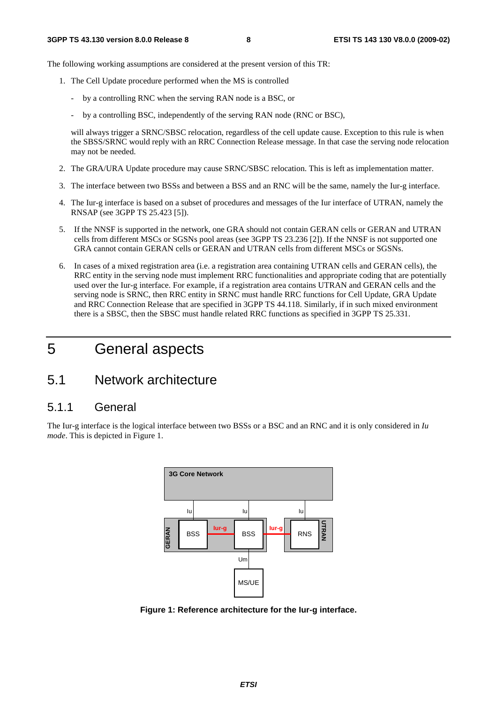The following working assumptions are considered at the present version of this TR:

- 1. The Cell Update procedure performed when the MS is controlled
	- by a controlling RNC when the serving RAN node is a BSC, or
	- by a controlling BSC, independently of the serving RAN node (RNC or BSC),

will always trigger a SRNC/SBSC relocation, regardless of the cell update cause. Exception to this rule is when the SBSS/SRNC would reply with an RRC Connection Release message. In that case the serving node relocation may not be needed.

- 2. The GRA/URA Update procedure may cause SRNC/SBSC relocation. This is left as implementation matter.
- 3. The interface between two BSSs and between a BSS and an RNC will be the same, namely the Iur-g interface.
- 4. The Iur-g interface is based on a subset of procedures and messages of the Iur interface of UTRAN, namely the RNSAP (see 3GPP TS 25.423 [5]).
- 5. If the NNSF is supported in the network, one GRA should not contain GERAN cells or GERAN and UTRAN cells from different MSCs or SGSNs pool areas (see 3GPP TS 23.236 [2]). If the NNSF is not supported one GRA cannot contain GERAN cells or GERAN and UTRAN cells from different MSCs or SGSNs.
- 6. In cases of a mixed registration area (i.e. a registration area containing UTRAN cells and GERAN cells), the RRC entity in the serving node must implement RRC functionalities and appropriate coding that are potentially used over the Iur-g interface. For example, if a registration area contains UTRAN and GERAN cells and the serving node is SRNC, then RRC entity in SRNC must handle RRC functions for Cell Update, GRA Update and RRC Connection Release that are specified in 3GPP TS 44.118. Similarly, if in such mixed environment there is a SBSC, then the SBSC must handle related RRC functions as specified in 3GPP TS 25.331.

## 5 General aspects

### 5.1 Network architecture

#### 5.1.1 General

The Iur-g interface is the logical interface between two BSSs or a BSC and an RNC and it is only considered in *Iu mode*. This is depicted in Figure 1.



**Figure 1: Reference architecture for the Iur-g interface.**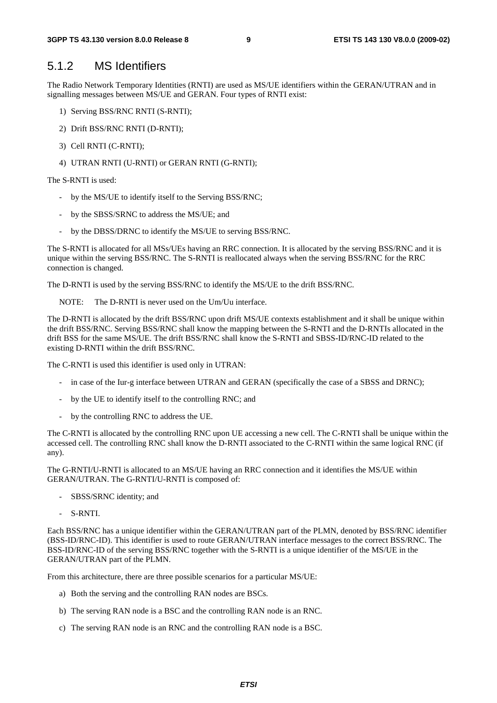#### 5.1.2 MS Identifiers

The Radio Network Temporary Identities (RNTI) are used as MS/UE identifiers within the GERAN/UTRAN and in signalling messages between MS/UE and GERAN. Four types of RNTI exist:

- 1) Serving BSS/RNC RNTI (S-RNTI);
- 2) Drift BSS/RNC RNTI (D-RNTI);
- 3) Cell RNTI (C-RNTI);
- 4) UTRAN RNTI (U-RNTI) or GERAN RNTI (G-RNTI);

The S-RNTI is used:

- by the MS/UE to identify itself to the Serving BSS/RNC;
- by the SBSS/SRNC to address the MS/UE; and
- by the DBSS/DRNC to identify the MS/UE to serving BSS/RNC.

The S-RNTI is allocated for all MSs/UEs having an RRC connection. It is allocated by the serving BSS/RNC and it is unique within the serving BSS/RNC. The S-RNTI is reallocated always when the serving BSS/RNC for the RRC connection is changed.

The D-RNTI is used by the serving BSS/RNC to identify the MS/UE to the drift BSS/RNC.

NOTE: The D-RNTI is never used on the Um/Uu interface.

The D-RNTI is allocated by the drift BSS/RNC upon drift MS/UE contexts establishment and it shall be unique within the drift BSS/RNC. Serving BSS/RNC shall know the mapping between the S-RNTI and the D-RNTIs allocated in the drift BSS for the same MS/UE. The drift BSS/RNC shall know the S-RNTI and SBSS-ID/RNC-ID related to the existing D-RNTI within the drift BSS/RNC.

The C-RNTI is used this identifier is used only in UTRAN:

- in case of the Iur-g interface between UTRAN and GERAN (specifically the case of a SBSS and DRNC);
- by the UE to identify itself to the controlling RNC; and
- by the controlling RNC to address the UE.

The C-RNTI is allocated by the controlling RNC upon UE accessing a new cell. The C-RNTI shall be unique within the accessed cell. The controlling RNC shall know the D-RNTI associated to the C-RNTI within the same logical RNC (if any).

The G-RNTI/U-RNTI is allocated to an MS/UE having an RRC connection and it identifies the MS/UE within GERAN/UTRAN. The G-RNTI/U-RNTI is composed of:

- SBSS/SRNC identity; and
- S-RNTI.

Each BSS/RNC has a unique identifier within the GERAN/UTRAN part of the PLMN, denoted by BSS/RNC identifier (BSS-ID/RNC-ID). This identifier is used to route GERAN/UTRAN interface messages to the correct BSS/RNC. The BSS-ID/RNC-ID of the serving BSS/RNC together with the S-RNTI is a unique identifier of the MS/UE in the GERAN/UTRAN part of the PLMN.

From this architecture, there are three possible scenarios for a particular MS/UE:

- a) Both the serving and the controlling RAN nodes are BSCs.
- b) The serving RAN node is a BSC and the controlling RAN node is an RNC.
- c) The serving RAN node is an RNC and the controlling RAN node is a BSC.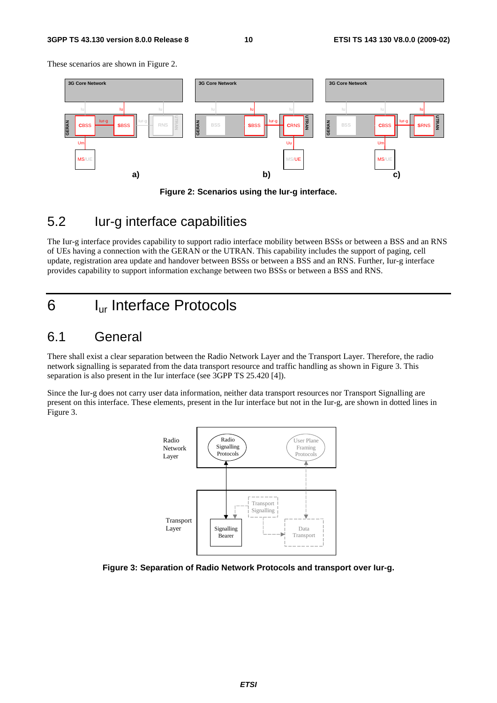#### **3GPP TS 43.130 version 8.0.0 Release 8 10 ETSI TS 143 130 V8.0.0 (2009-02)**

These scenarios are shown in Figure 2.





#### 5.2 Iur-g interface capabilities

The Iur-g interface provides capability to support radio interface mobility between BSSs or between a BSS and an RNS of UEs having a connection with the GERAN or the UTRAN. This capability includes the support of paging, cell update, registration area update and handover between BSSs or between a BSS and an RNS. Further, Iur-g interface provides capability to support information exchange between two BSSs or between a BSS and RNS.

### 6 Iur Interface Protocols

#### 6.1 General

There shall exist a clear separation between the Radio Network Layer and the Transport Layer. Therefore, the radio network signalling is separated from the data transport resource and traffic handling as shown in Figure 3. This separation is also present in the Iur interface (see 3GPP TS 25.420 [4]).

Since the Iur-g does not carry user data information, neither data transport resources nor Transport Signalling are present on this interface. These elements, present in the Iur interface but not in the Iur-g, are shown in dotted lines in Figure 3.



**Figure 3: Separation of Radio Network Protocols and transport over Iur-g.**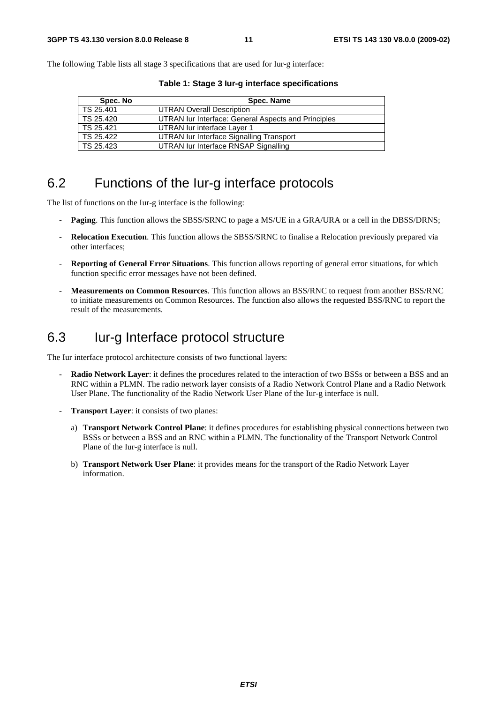The following Table lists all stage 3 specifications that are used for Iur-g interface:

| Spec. No  | Spec. Name                                          |
|-----------|-----------------------------------------------------|
| TS 25.401 | <b>UTRAN Overall Description</b>                    |
| TS 25.420 | UTRAN Iur Interface: General Aspects and Principles |
| TS 25.421 | UTRAN lur interface Layer 1                         |
| TS 25.422 | UTRAN Iur Interface Signalling Transport            |
| TS 25.423 | UTRAN lur Interface RNSAP Signalling                |

**Table 1: Stage 3 Iur-g interface specifications** 

#### 6.2 Functions of the Iur-g interface protocols

The list of functions on the Iur-g interface is the following:

- **Paging**. This function allows the SBSS/SRNC to page a MS/UE in a GRA/URA or a cell in the DBSS/DRNS;
- **Relocation Execution**. This function allows the SBSS/SRNC to finalise a Relocation previously prepared via other interfaces;
- **Reporting of General Error Situations**. This function allows reporting of general error situations, for which function specific error messages have not been defined.
- **Measurements on Common Resources**. This function allows an BSS/RNC to request from another BSS/RNC to initiate measurements on Common Resources. The function also allows the requested BSS/RNC to report the result of the measurements.

### 6.3 Iur-g Interface protocol structure

The Iur interface protocol architecture consists of two functional layers:

- **Radio Network Layer**: it defines the procedures related to the interaction of two BSSs or between a BSS and an RNC within a PLMN. The radio network layer consists of a Radio Network Control Plane and a Radio Network User Plane. The functionality of the Radio Network User Plane of the Iur-g interface is null.
- **Transport Layer:** it consists of two planes:
	- a) **Transport Network Control Plane**: it defines procedures for establishing physical connections between two BSSs or between a BSS and an RNC within a PLMN. The functionality of the Transport Network Control Plane of the Iur-g interface is null.
	- b) **Transport Network User Plane**: it provides means for the transport of the Radio Network Layer information.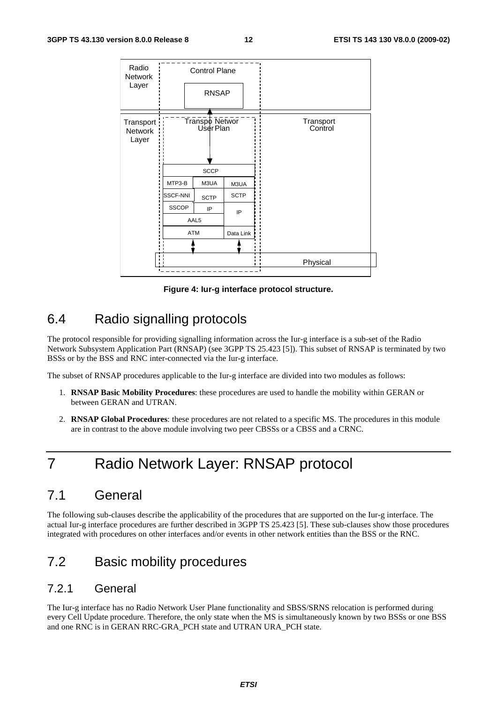| Radio<br>Network                      |                 | <b>Control Plane</b> |                                                     |           |  |
|---------------------------------------|-----------------|----------------------|-----------------------------------------------------|-----------|--|
| Layer                                 |                 | <b>RNSAP</b>         |                                                     |           |  |
| Transport:<br><b>Network</b><br>Layer |                 |                      | Transpo Networ<br>User Plan<br>Transport<br>Control |           |  |
|                                       |                 | <b>SCCP</b>          |                                                     |           |  |
|                                       | MTP3-B          | M3UA                 |                                                     |           |  |
|                                       | <b>SSCF-NNI</b> | <b>SCTP</b>          | <b>SCTP</b>                                         |           |  |
|                                       | <b>SSCOP</b>    | IP                   | IP                                                  |           |  |
|                                       |                 | AAL5                 |                                                     |           |  |
|                                       |                 | <b>ATM</b>           |                                                     | Data Link |  |
|                                       |                 |                      |                                                     |           |  |
| $\blacksquare$                        |                 |                      |                                                     | Physical  |  |
|                                       |                 |                      |                                                     |           |  |

**Figure 4: Iur-g interface protocol structure.** 

### 6.4 Radio signalling protocols

The protocol responsible for providing signalling information across the Iur-g interface is a sub-set of the Radio Network Subsystem Application Part (RNSAP) (see 3GPP TS 25.423 [5]). This subset of RNSAP is terminated by two BSSs or by the BSS and RNC inter-connected via the Iur-g interface.

The subset of RNSAP procedures applicable to the Iur-g interface are divided into two modules as follows:

- 1. **RNSAP Basic Mobility Procedures**: these procedures are used to handle the mobility within GERAN or between GERAN and UTRAN.
- 2. **RNSAP Global Procedures**: these procedures are not related to a specific MS. The procedures in this module are in contrast to the above module involving two peer CBSSs or a CBSS and a CRNC.

## 7 Radio Network Layer: RNSAP protocol

### 7.1 General

The following sub-clauses describe the applicability of the procedures that are supported on the Iur-g interface. The actual Iur-g interface procedures are further described in 3GPP TS 25.423 [5]. These sub-clauses show those procedures integrated with procedures on other interfaces and/or events in other network entities than the BSS or the RNC.

### 7.2 Basic mobility procedures

#### 7.2.1 General

The Iur-g interface has no Radio Network User Plane functionality and SBSS/SRNS relocation is performed during every Cell Update procedure. Therefore, the only state when the MS is simultaneously known by two BSSs or one BSS and one RNC is in GERAN RRC-GRA\_PCH state and UTRAN URA\_PCH state.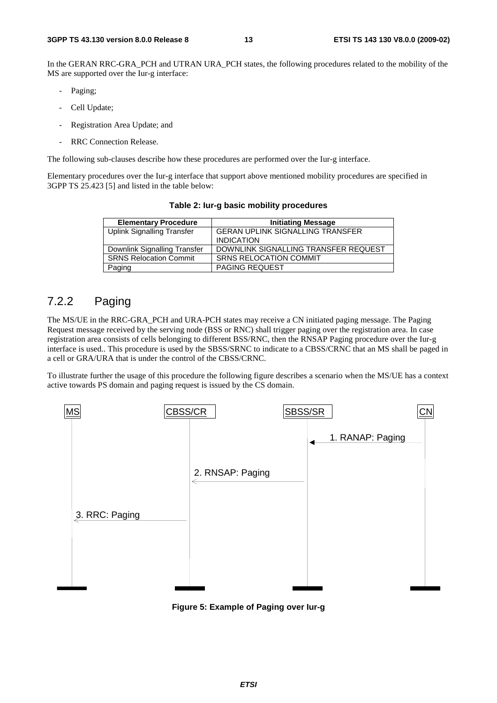In the GERAN RRC-GRA PCH and UTRAN URA PCH states, the following procedures related to the mobility of the MS are supported over the Iur-g interface:

- Paging;
- Cell Update;
- Registration Area Update; and
- RRC Connection Release.

The following sub-clauses describe how these procedures are performed over the Iur-g interface.

Elementary procedures over the Iur-g interface that support above mentioned mobility procedures are specified in 3GPP TS 25.423 [5] and listed in the table below:

| <b>Elementary Procedure</b>       | <b>Initiating Message</b>               |
|-----------------------------------|-----------------------------------------|
| <b>Uplink Signalling Transfer</b> | <b>GERAN UPLINK SIGNALLING TRANSFER</b> |
|                                   | <b>INDICATION</b>                       |
| Downlink Signalling Transfer      | DOWNLINK SIGNALLING TRANSFER REQUEST    |
| <b>SRNS Relocation Commit</b>     | <b>SRNS RELOCATION COMMIT</b>           |
| Paging                            | <b>PAGING REQUEST</b>                   |

**Table 2: Iur-g basic mobility procedures** 

#### 7.2.2 Paging

The MS/UE in the RRC-GRA\_PCH and URA-PCH states may receive a CN initiated paging message. The Paging Request message received by the serving node (BSS or RNC) shall trigger paging over the registration area. In case registration area consists of cells belonging to different BSS/RNC, then the RNSAP Paging procedure over the Iur-g interface is used.. This procedure is used by the SBSS/SRNC to indicate to a CBSS/CRNC that an MS shall be paged in a cell or GRA/URA that is under the control of the CBSS/CRNC.

To illustrate further the usage of this procedure the following figure describes a scenario when the MS/UE has a context active towards PS domain and paging request is issued by the CS domain.



**Figure 5: Example of Paging over Iur-g**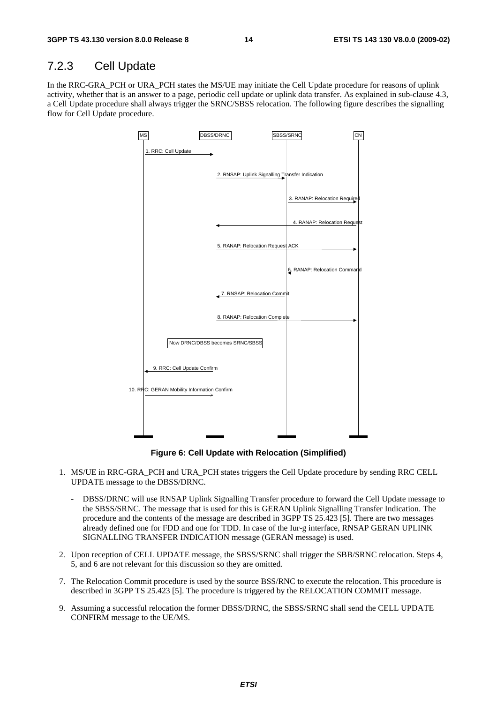#### 7.2.3 Cell Update

In the RRC-GRA\_PCH or URA\_PCH states the MS/UE may initiate the Cell Update procedure for reasons of uplink activity, whether that is an answer to a page, periodic cell update or uplink data transfer. As explained in sub-clause 4.3, a Cell Update procedure shall always trigger the SRNC/SBSS relocation. The following figure describes the signalling flow for Cell Update procedure.



**Figure 6: Cell Update with Relocation (Simplified)** 

- 1. MS/UE in RRC-GRA\_PCH and URA\_PCH states triggers the Cell Update procedure by sending RRC CELL UPDATE message to the DBSS/DRNC.
	- DBSS/DRNC will use RNSAP Uplink Signalling Transfer procedure to forward the Cell Update message to the SBSS/SRNC. The message that is used for this is GERAN Uplink Signalling Transfer Indication. The procedure and the contents of the message are described in 3GPP TS 25.423 [5]. There are two messages already defined one for FDD and one for TDD. In case of the Iur-g interface, RNSAP GERAN UPLINK SIGNALLING TRANSFER INDICATION message (GERAN message) is used.
- 2. Upon reception of CELL UPDATE message, the SBSS/SRNC shall trigger the SBB/SRNC relocation. Steps 4, 5, and 6 are not relevant for this discussion so they are omitted.
- 7. The Relocation Commit procedure is used by the source BSS/RNC to execute the relocation. This procedure is described in 3GPP TS 25.423 [5]. The procedure is triggered by the RELOCATION COMMIT message.
- 9. Assuming a successful relocation the former DBSS/DRNC, the SBSS/SRNC shall send the CELL UPDATE CONFIRM message to the UE/MS.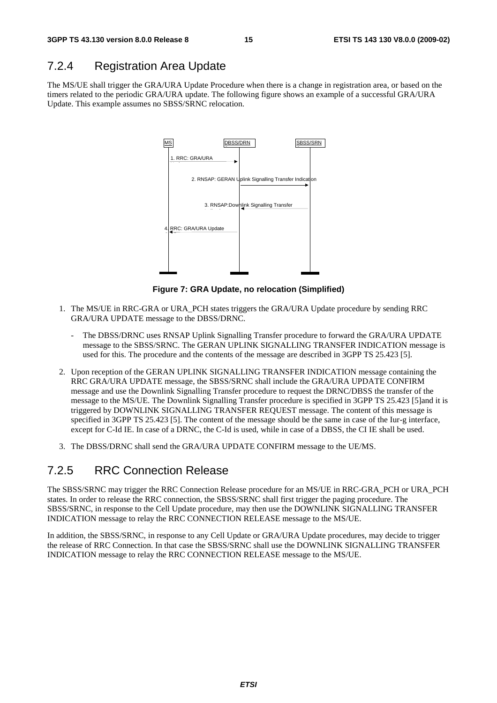#### 7.2.4 Registration Area Update

The MS/UE shall trigger the GRA/URA Update Procedure when there is a change in registration area, or based on the timers related to the periodic GRA/URA update. The following figure shows an example of a successful GRA/URA Update. This example assumes no SBSS/SRNC relocation.



**Figure 7: GRA Update, no relocation (Simplified)** 

- 1. The MS/UE in RRC-GRA or URA\_PCH states triggers the GRA/URA Update procedure by sending RRC GRA/URA UPDATE message to the DBSS/DRNC.
	- The DBSS/DRNC uses RNSAP Uplink Signalling Transfer procedure to forward the GRA/URA UPDATE message to the SBSS/SRNC. The GERAN UPLINK SIGNALLING TRANSFER INDICATION message is used for this. The procedure and the contents of the message are described in 3GPP TS 25.423 [5].
- 2. Upon reception of the GERAN UPLINK SIGNALLING TRANSFER INDICATION message containing the RRC GRA/URA UPDATE message, the SBSS/SRNC shall include the GRA/URA UPDATE CONFIRM message and use the Downlink Signalling Transfer procedure to request the DRNC/DBSS the transfer of the message to the MS/UE. The Downlink Signalling Transfer procedure is specified in 3GPP TS 25.423 [5]and it is triggered by DOWNLINK SIGNALLING TRANSFER REQUEST message. The content of this message is specified in 3GPP TS 25.423 [5]. The content of the message should be the same in case of the Iur-g interface, except for C-Id IE. In case of a DRNC, the C-Id is used, while in case of a DBSS, the CI IE shall be used.
- 3. The DBSS/DRNC shall send the GRA/URA UPDATE CONFIRM message to the UE/MS.

#### 7.2.5 RRC Connection Release

The SBSS/SRNC may trigger the RRC Connection Release procedure for an MS/UE in RRC-GRA\_PCH or URA\_PCH states. In order to release the RRC connection, the SBSS/SRNC shall first trigger the paging procedure. The SBSS/SRNC, in response to the Cell Update procedure, may then use the DOWNLINK SIGNALLING TRANSFER INDICATION message to relay the RRC CONNECTION RELEASE message to the MS/UE.

In addition, the SBSS/SRNC, in response to any Cell Update or GRA/URA Update procedures, may decide to trigger the release of RRC Connection. In that case the SBSS/SRNC shall use the DOWNLINK SIGNALLING TRANSFER INDICATION message to relay the RRC CONNECTION RELEASE message to the MS/UE.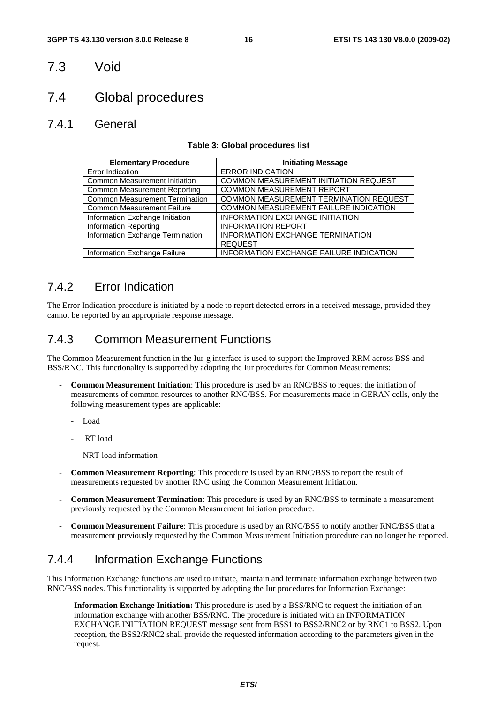#### 7.3 Void

### 7.4 Global procedures

#### 7.4.1 General

#### **Table 3: Global procedures list**

| <b>Elementary Procedure</b>           | <b>Initiating Message</b>               |
|---------------------------------------|-----------------------------------------|
| Error Indication                      | <b>ERROR INDICATION</b>                 |
| <b>Common Measurement Initiation</b>  | COMMON MEASUREMENT INITIATION REQUEST   |
| <b>Common Measurement Reporting</b>   | <b>COMMON MEASUREMENT REPORT</b>        |
| <b>Common Measurement Termination</b> | COMMON MEASUREMENT TERMINATION REQUEST  |
| <b>Common Measurement Failure</b>     | COMMON MEASUREMENT FAILURE INDICATION   |
| Information Exchange Initiation       | INFORMATION EXCHANGE INITIATION         |
| <b>Information Reporting</b>          | <b>INFORMATION REPORT</b>               |
| Information Exchange Termination      | <b>INFORMATION EXCHANGE TERMINATION</b> |
|                                       | <b>REQUEST</b>                          |
| Information Exchange Failure          | INFORMATION EXCHANGE FAILURE INDICATION |

#### 7.4.2 Error Indication

The Error Indication procedure is initiated by a node to report detected errors in a received message, provided they cannot be reported by an appropriate response message.

#### 7.4.3 Common Measurement Functions

The Common Measurement function in the Iur-g interface is used to support the Improved RRM across BSS and BSS/RNC. This functionality is supported by adopting the Iur procedures for Common Measurements:

- **Common Measurement Initiation**: This procedure is used by an RNC/BSS to request the initiation of measurements of common resources to another RNC/BSS. For measurements made in GERAN cells, only the following measurement types are applicable:
	- Load
	- RT load
	- NRT load information
- **Common Measurement Reporting**: This procedure is used by an RNC/BSS to report the result of measurements requested by another RNC using the Common Measurement Initiation.
- **Common Measurement Termination**: This procedure is used by an RNC/BSS to terminate a measurement previously requested by the Common Measurement Initiation procedure.
- **Common Measurement Failure**: This procedure is used by an RNC/BSS to notify another RNC/BSS that a measurement previously requested by the Common Measurement Initiation procedure can no longer be reported.

#### 7.4.4 Information Exchange Functions

This Information Exchange functions are used to initiate, maintain and terminate information exchange between two RNC/BSS nodes. This functionality is supported by adopting the Iur procedures for Information Exchange:

- **Information Exchange Initiation:** This procedure is used by a BSS/RNC to request the initiation of an information exchange with another BSS/RNC. The procedure is initiated with an INFORMATION EXCHANGE INITIATION REQUEST message sent from BSS1 to BSS2/RNC2 or by RNC1 to BSS2. Upon reception, the BSS2/RNC2 shall provide the requested information according to the parameters given in the request.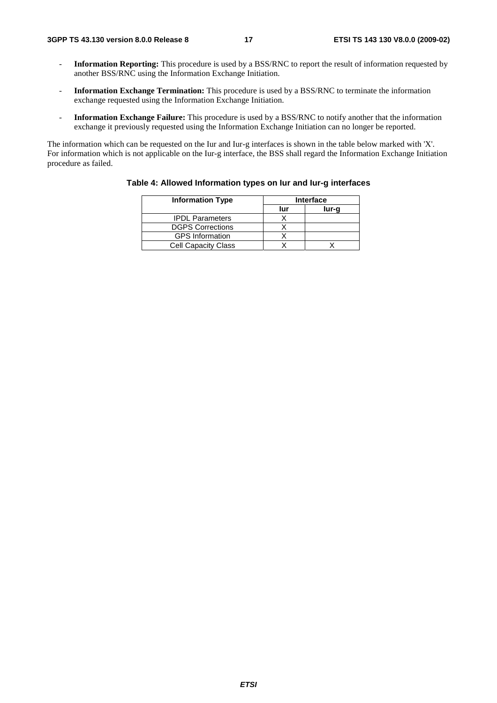- **Information Reporting:** This procedure is used by a BSS/RNC to report the result of information requested by another BSS/RNC using the Information Exchange Initiation.
- **Information Exchange Termination:** This procedure is used by a BSS/RNC to terminate the information exchange requested using the Information Exchange Initiation.
- **Information Exchange Failure:** This procedure is used by a BSS/RNC to notify another that the information exchange it previously requested using the Information Exchange Initiation can no longer be reported.

The information which can be requested on the Iur and Iur-g interfaces is shown in the table below marked with 'X'. For information which is not applicable on the Iur-g interface, the BSS shall regard the Information Exchange Initiation procedure as failed.

| <b>Information Type</b>    | <b>Interface</b> |       |  |
|----------------------------|------------------|-------|--|
|                            | lur              | lur-g |  |
| <b>IPDL Parameters</b>     |                  |       |  |
| <b>DGPS Corrections</b>    |                  |       |  |
| <b>GPS</b> Information     |                  |       |  |
| <b>Cell Capacity Class</b> |                  |       |  |

#### **Table 4: Allowed Information types on Iur and Iur-g interfaces**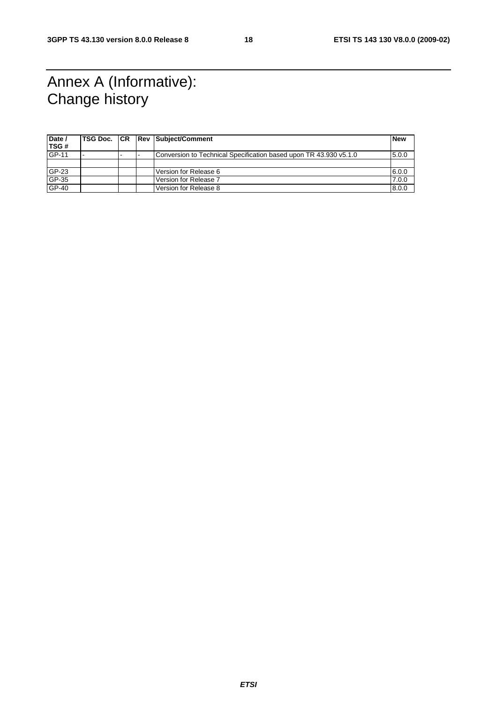## Annex A (Informative): Change history

| Date /<br>TSG# |  | <b>TSG Doc. CR Rev Subject/Comment</b>                            | <b>New</b> |
|----------------|--|-------------------------------------------------------------------|------------|
| GP-11          |  | Conversion to Technical Specification based upon TR 43.930 v5.1.0 | 5.0.0      |
|                |  |                                                                   |            |
| GP-23          |  | Version for Release 6                                             | 6.0.0      |
| GP-35          |  | Version for Release 7                                             | 7.0.0      |
| GP-40          |  | Version for Release 8                                             | 8.0.0      |